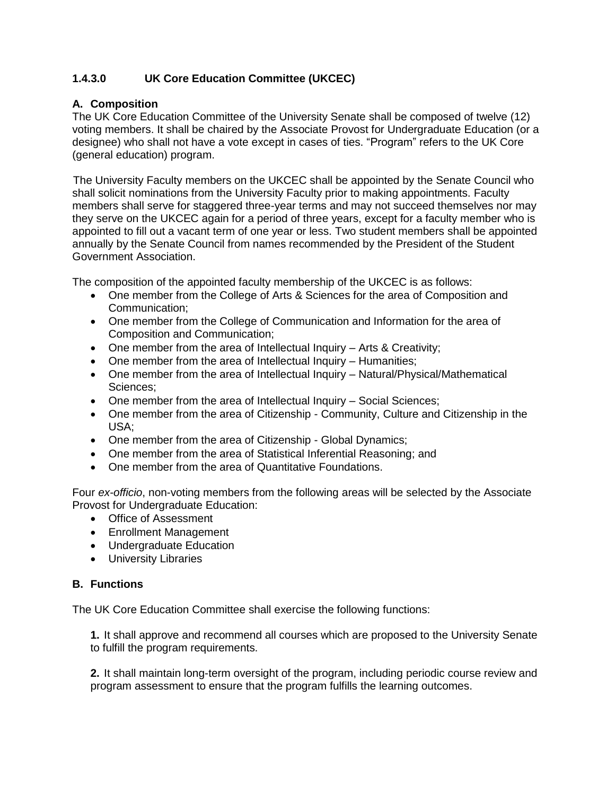## **1.4.3.0 UK Core Education Committee (UKCEC)**

#### **A. Composition**

The UK Core Education Committee of the University Senate shall be composed of twelve (12) voting members. It shall be chaired by the Associate Provost for Undergraduate Education (or a designee) who shall not have a vote except in cases of ties. "Program" refers to the UK Core (general education) program.

 The University Faculty members on the UKCEC shall be appointed by the Senate Council who shall solicit nominations from the University Faculty prior to making appointments. Faculty members shall serve for staggered three-year terms and may not succeed themselves nor may they serve on the UKCEC again for a period of three years, except for a faculty member who is appointed to fill out a vacant term of one year or less. Two student members shall be appointed annually by the Senate Council from names recommended by the President of the Student Government Association.

The composition of the appointed faculty membership of the UKCEC is as follows:

- One member from the College of Arts & Sciences for the area of Composition and Communication;
- One member from the College of Communication and Information for the area of Composition and Communication;
- One member from the area of Intellectual Inquiry Arts & Creativity;
- One member from the area of Intellectual Inquiry Humanities;
- One member from the area of Intellectual Inquiry Natural/Physical/Mathematical Sciences;
- One member from the area of Intellectual Inquiry Social Sciences;
- One member from the area of Citizenship Community, Culture and Citizenship in the USA;
- One member from the area of Citizenship Global Dynamics;
- One member from the area of Statistical Inferential Reasoning; and
- One member from the area of Quantitative Foundations.

Four *ex-officio*, non-voting members from the following areas will be selected by the Associate Provost for Undergraduate Education:

- Office of Assessment
- Enrollment Management
- Undergraduate Education
- **•** University Libraries

#### **B. Functions**

The UK Core Education Committee shall exercise the following functions:

**1.** It shall approve and recommend all courses which are proposed to the University Senate to fulfill the program requirements.

**2.** It shall maintain long-term oversight of the program, including periodic course review and program assessment to ensure that the program fulfills the learning outcomes.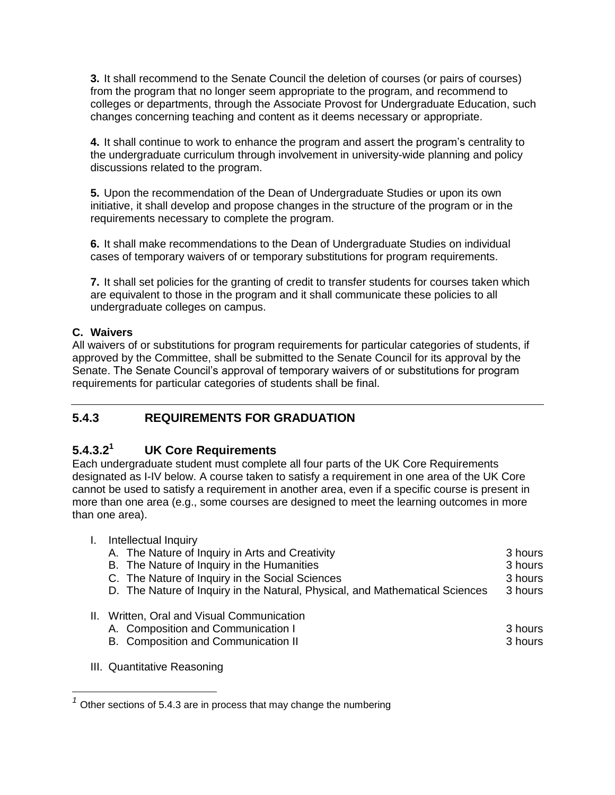**3.** It shall recommend to the Senate Council the deletion of courses (or pairs of courses) from the program that no longer seem appropriate to the program, and recommend to colleges or departments, through the Associate Provost for Undergraduate Education, such changes concerning teaching and content as it deems necessary or appropriate.

**4.** It shall continue to work to enhance the program and assert the program's centrality to the undergraduate curriculum through involvement in university-wide planning and policy discussions related to the program.

**5.** Upon the recommendation of the Dean of Undergraduate Studies or upon its own initiative, it shall develop and propose changes in the structure of the program or in the requirements necessary to complete the program.

**6.** It shall make recommendations to the Dean of Undergraduate Studies on individual cases of temporary waivers of or temporary substitutions for program requirements.

**7.** It shall set policies for the granting of credit to transfer students for courses taken which are equivalent to those in the program and it shall communicate these policies to all undergraduate colleges on campus.

#### **C. Waivers**

All waivers of or substitutions for program requirements for particular categories of students, if approved by the Committee, shall be submitted to the Senate Council for its approval by the Senate. The Senate Council's approval of temporary waivers of or substitutions for program requirements for particular categories of students shall be final.

# **5.4.3 REQUIREMENTS FOR GRADUATION**

#### **5.4.3.2 <sup>1</sup> UK Core Requirements**

Each undergraduate student must complete all four parts of the UK Core Requirements designated as I-IV below. A course taken to satisfy a requirement in one area of the UK Core cannot be used to satisfy a requirement in another area, even if a specific course is present in more than one area (e.g., some courses are designed to meet the learning outcomes in more than one area).

| Intellectual Inquiry                                                         |         |
|------------------------------------------------------------------------------|---------|
| A. The Nature of Inquiry in Arts and Creativity                              | 3 hours |
| B. The Nature of Inquiry in the Humanities                                   | 3 hours |
| C. The Nature of Inquiry in the Social Sciences                              | 3 hours |
| D. The Nature of Inquiry in the Natural, Physical, and Mathematical Sciences | 3 hours |
| II. Written, Oral and Visual Communication                                   |         |
| A. Composition and Communication I                                           | 3 hours |
| B. Composition and Communication II                                          | 3 hours |
|                                                                              |         |

 $\overline{a}$ 

III. Quantitative Reasoning

*<sup>1</sup>* Other sections of 5.4.3 are in process that may change the numbering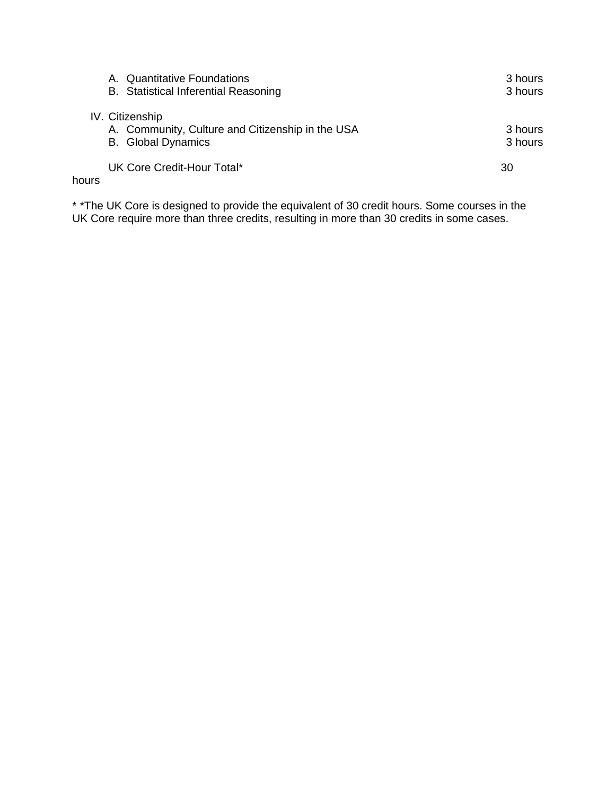|       | <b>Quantitative Foundations</b><br>А.            | 3 hours |
|-------|--------------------------------------------------|---------|
|       | <b>B.</b> Statistical Inferential Reasoning      | 3 hours |
|       | IV. Citizenship                                  |         |
|       | A. Community, Culture and Citizenship in the USA | 3 hours |
|       | <b>B.</b> Global Dynamics                        | 3 hours |
|       | UK Core Credit-Hour Total*                       | 30      |
| hours |                                                  |         |

\* \*The UK Core is designed to provide the equivalent of 30 credit hours. Some courses in the UK Core require more than three credits, resulting in more than 30 credits in some cases.